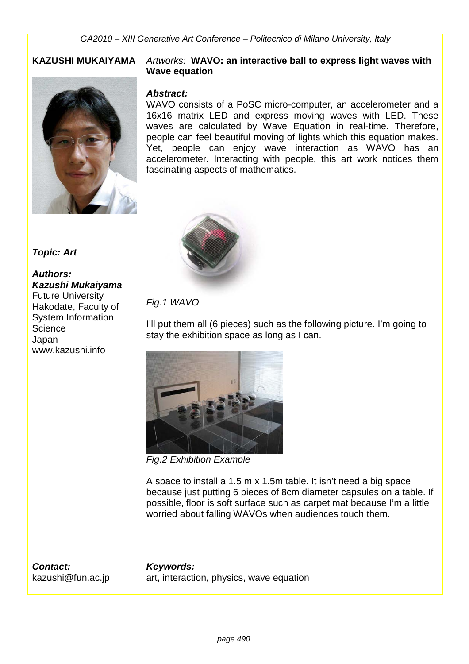

**Topic: Art** 

**Authors:** 

**Science** Japan

**Kazushi Mukaiyama**  Future University Hakodate, Faculty of System Information

www.kazushi.info

#### KAZUSHI MUKAIYAMA | Artworks: WAVO: an interactive ball to express light waves with **Wave equation**

#### **Abstract:**

WAVO consists of a PoSC micro-computer, an accelerometer and a 16x16 matrix LED and express moving waves with LED. These waves are calculated by Wave Equation in real-time. Therefore, people can feel beautiful moving of lights which this equation makes. Yet, people can enjoy wave interaction as WAVO has an accelerometer. Interacting with people, this art work notices them fascinating aspects of mathematics.



### Fig.1 WAVO

I'll put them all (6 pieces) such as the following picture. I'm going to stay the exhibition space as long as I can.



Fig.2 Exhibition Example

A space to install a 1.5 m x 1.5m table. It isn't need a big space because just putting 6 pieces of 8cm diameter capsules on a table. If possible, floor is soft surface such as carpet mat because I'm a little worried about falling WAVOs when audiences touch them.

**Contact:**  kazushi@fun.ac.jp

**Keywords:**  art, interaction, physics, wave equation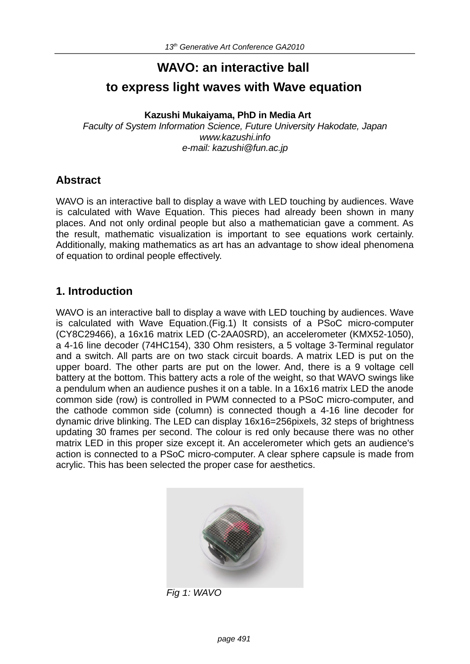# **WAVO: an interactive ball to express light waves with Wave equation**

#### **Kazushi Mukaiyama, PhD in Media Art**

*Faculty of System Information Science, Future University Hakodate, Japan www.kazushi.info e-mail: kazushi@fun.ac.jp*

#### **Abstract**

WAVO is an interactive ball to display a wave with LED touching by audiences. Wave is calculated with Wave Equation. This pieces had already been shown in many places. And not only ordinal people but also a mathematician gave a comment. As the result, mathematic visualization is important to see equations work certainly. Additionally, making mathematics as art has an advantage to show ideal phenomena of equation to ordinal people effectively.

# **1. Introduction**

WAVO is an interactive ball to display a wave with LED touching by audiences. Wave is calculated with Wave Equation.(Fig.1) It consists of a PSoC micro-computer (CY8C29466), a 16x16 matrix LED (C-2AA0SRD), an accelerometer (KMX52-1050), a 4-16 line decoder (74HC154), 330 Ohm resisters, a 5 voltage 3-Terminal regulator and a switch. All parts are on two stack circuit boards. A matrix LED is put on the upper board. The other parts are put on the lower. And, there is a 9 voltage cell battery at the bottom. This battery acts a role of the weight, so that WAVO swings like a pendulum when an audience pushes it on a table. In a 16x16 matrix LED the anode common side (row) is controlled in PWM connected to a PSoC micro-computer, and the cathode common side (column) is connected though a 4-16 line decoder for dynamic drive blinking. The LED can display 16x16=256pixels, 32 steps of brightness updating 30 frames per second. The colour is red only because there was no other matrix LED in this proper size except it. An accelerometer which gets an audience's action is connected to a PSoC micro-computer. A clear sphere capsule is made from acrylic. This has been selected the proper case for aesthetics.



*Fig 1: WAVO*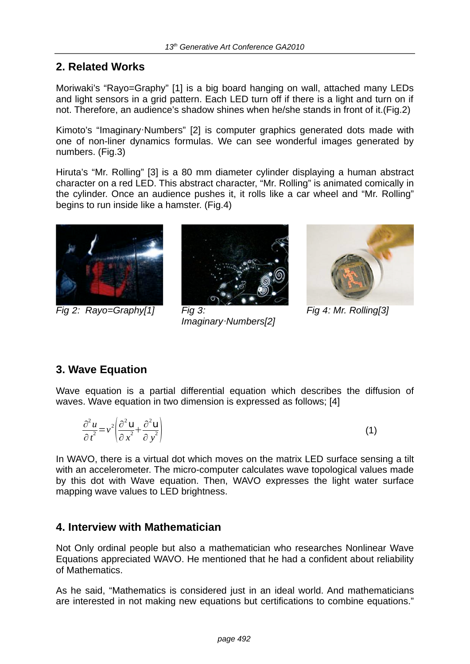# **2. Related Works**

Moriwaki's "Rayo=Graphy" [1] is a big board hanging on wall, attached many LEDs and light sensors in a grid pattern. Each LED turn off if there is a light and turn on if not. Therefore, an audience's shadow shines when he/she stands in front of it.(Fig.2)

Kimoto's "Imaginary Numbers" [2] is computer graphics generated dots made with one of non-liner dynamics formulas. We can see wonderful images generated by numbers. (Fig.3)

Hiruta's "Mr. Rolling" [3] is a 80 mm diameter cylinder displaying a human abstract character on a red LED. This abstract character, "Mr. Rolling" is animated comically in the cylinder. Once an audience pushes it, it rolls like a car wheel and "Mr. Rolling" begins to run inside like a hamster. (Fig.4)



*Fig 2: Rayo=Graphy[1] Fig 3:*



*Imaginary!Numbers[2]*



*Fig 4: Mr. Rolling[3]*

# **3. Wave Equation**

Wave equation is a partial differential equation which describes the diffusion of waves. Wave equation in two dimension is expressed as follows; [4]

$$
\frac{\partial^2 u}{\partial t^2} = v^2 \left( \frac{\partial^2 u}{\partial x^2} + \frac{\partial^2 u}{\partial y^2} \right)
$$
 (1)

In WAVO, there is a virtual dot which moves on the matrix LED surface sensing a tilt with an accelerometer. The micro-computer calculates wave topological values made by this dot with Wave equation. Then, WAVO expresses the light water surface mapping wave values to LED brightness.

#### **4. Interview with Mathematician**

Not Only ordinal people but also a mathematician who researches Nonlinear Wave Equations appreciated WAVO. He mentioned that he had a confident about reliability of Mathematics.

As he said, "Mathematics is considered just in an ideal world. And mathematicians are interested in not making new equations but certifications to combine equations."